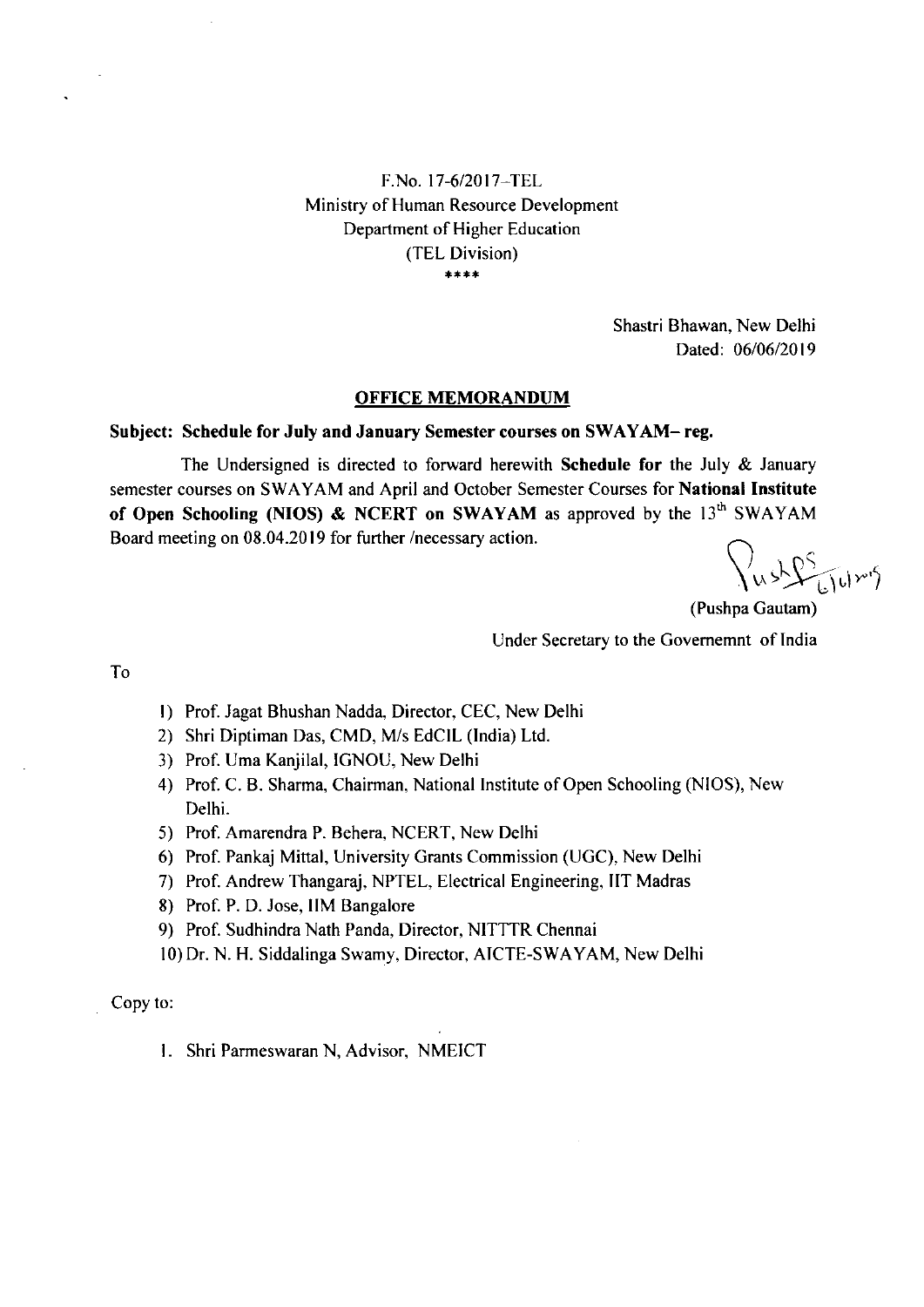F.No. l7-612017-TEL Ministry of Human Resource Development Department of Higher Education (TEL Division)  $***$ 

> Shastri Bhawan, New Delhi Dated: 06/06/2019

### OFFICE MEMORANDUM

#### Subject: Schedule for July and January Semester courses on SWAYAM- reg.

The Undersigned is directed to forward herewith **Schedule for** the July  $\&$  January semester courses on SWAYAM and April and October Semester Courses for National Institute of Open Schooling (NIOS) & NCERT on SWAYAM as approved by the  $13<sup>th</sup>$  SWAYAM Board meeting on 08.04.2019 for further /necessary action.

 $\sqrt{\mu s}$ 

(Pushpa Gautam) Under Secretary to the Govememnt of India

To

- l) Prof. Jagat Bhushan Nadda, Director, CEC, New Delhi
- 2) Shri Diptiman Das, CMD, M/s EdCIL (lndia) Ltd.
- 3) Prof. Uma Kanjilal, IGNOU, New Delhi
- 4) Prof. C. B. Sharma, Chairman, National Institute of Open Schooling (NIOS), New Delhi.
- 5) Prof. Amarendra P. Behera, NCERT, New Delhi
- 6) Prof. Pankaj Mittal, University Grants Commission (UGC), New Delhi
- 7) Prof. Andrew Thangaraj, NPTEL, Electrical Engineering, IIT Madras
- 8) Prof. P. D. Jose, IIM Bangalore
- 9) Prof. Sudhindra Nath Panda, Director, NITTTR Chennai
- l0) Dr. N. H. Siddalinga Swamy, Director, AICTE-SWAYAM, New Delhi

Copy to

1. Shri Parmeswaran N, Advisor, NMEICT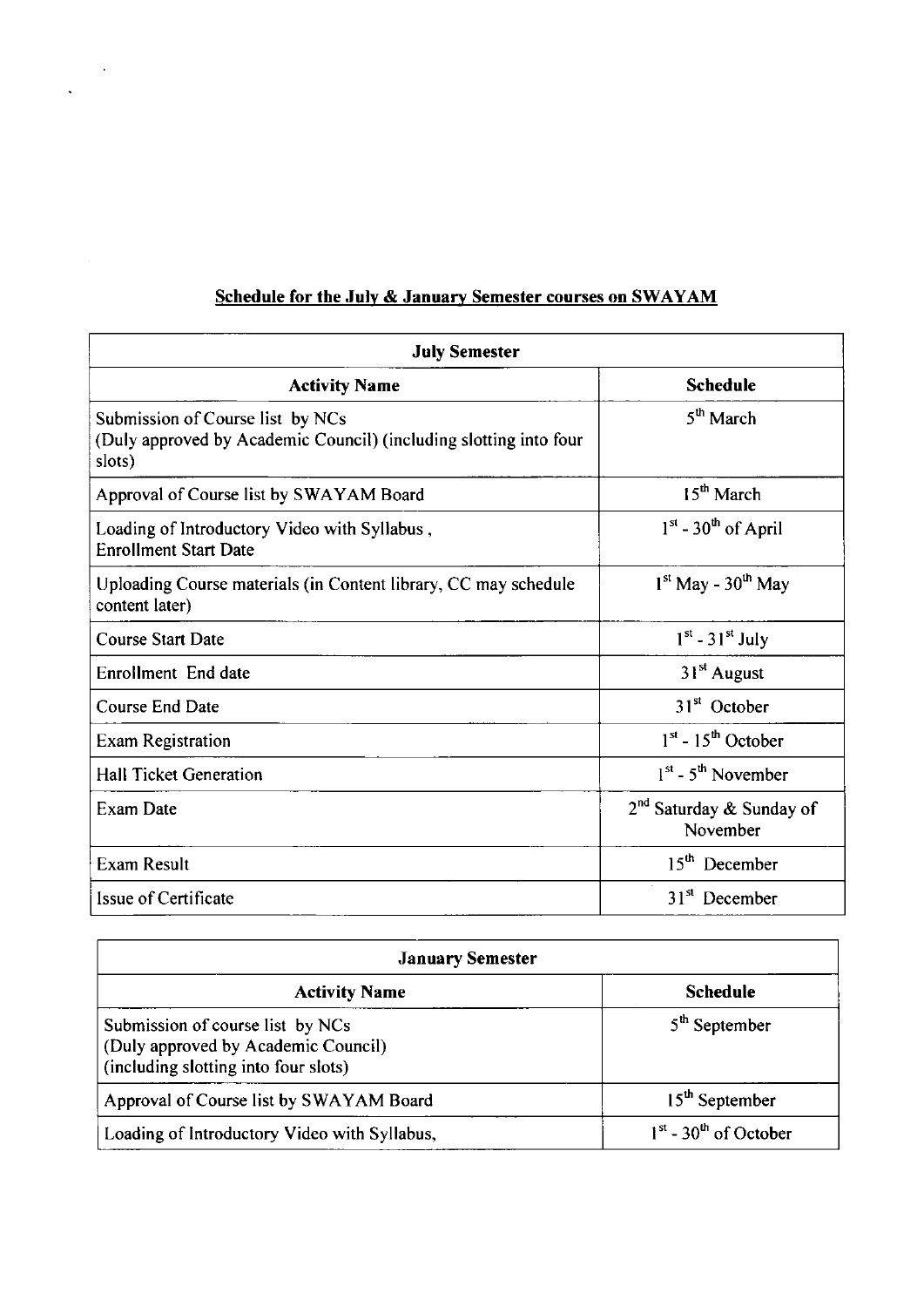### Schedule for the July & January Semester courses on SWAYAM

 $\sim$   $\sim$ 

 $\ddot{\phantom{0}}$ 

| <b>July Semester</b>                                                                                            |                                        |
|-----------------------------------------------------------------------------------------------------------------|----------------------------------------|
| <b>Activity Name</b>                                                                                            | <b>Schedule</b>                        |
| Submission of Course list by NCs<br>(Duly approved by Academic Council) (including slotting into four<br>slots) | $5th$ March                            |
| Approval of Course list by SWAYAM Board                                                                         | $15th$ March                           |
| Loading of Introductory Video with Syllabus,<br><b>Enrollment Start Date</b>                                    | $1st$ - 30 <sup>th</sup> of April      |
| Uploading Course materials (in Content library, CC may schedule<br>content later)                               | $1st$ May - 30 <sup>th</sup> May       |
| <b>Course Start Date</b>                                                                                        | $1st - 31st$ July                      |
| Enrollment End date                                                                                             | 31 <sup>st</sup> August                |
| Course End Date                                                                                                 | 31 <sup>st</sup> October               |
| <b>Exam Registration</b>                                                                                        | $1st - 15th$ October                   |
| <b>Hall Ticket Generation</b>                                                                                   | $1^{st}$ - 5 <sup>th</sup> November    |
| Exam Date                                                                                                       | $2nd$ Saturday & Sunday of<br>November |
| <b>Exam Result</b>                                                                                              | $15th$ December                        |
| Issue of Certificate                                                                                            | $31st$ December                        |

| <b>January Semester</b>                                                                                         |                                     |
|-----------------------------------------------------------------------------------------------------------------|-------------------------------------|
| <b>Activity Name</b>                                                                                            | <b>Schedule</b>                     |
| Submission of course list by NCs<br>(Duly approved by Academic Council)<br>(including slotting into four slots) | $5th$ September                     |
| Approval of Course list by SWAYAM Board                                                                         | 15 <sup>th</sup> September          |
| Loading of Introductory Video with Syllabus,                                                                    | $1st$ - 30 <sup>th</sup> of October |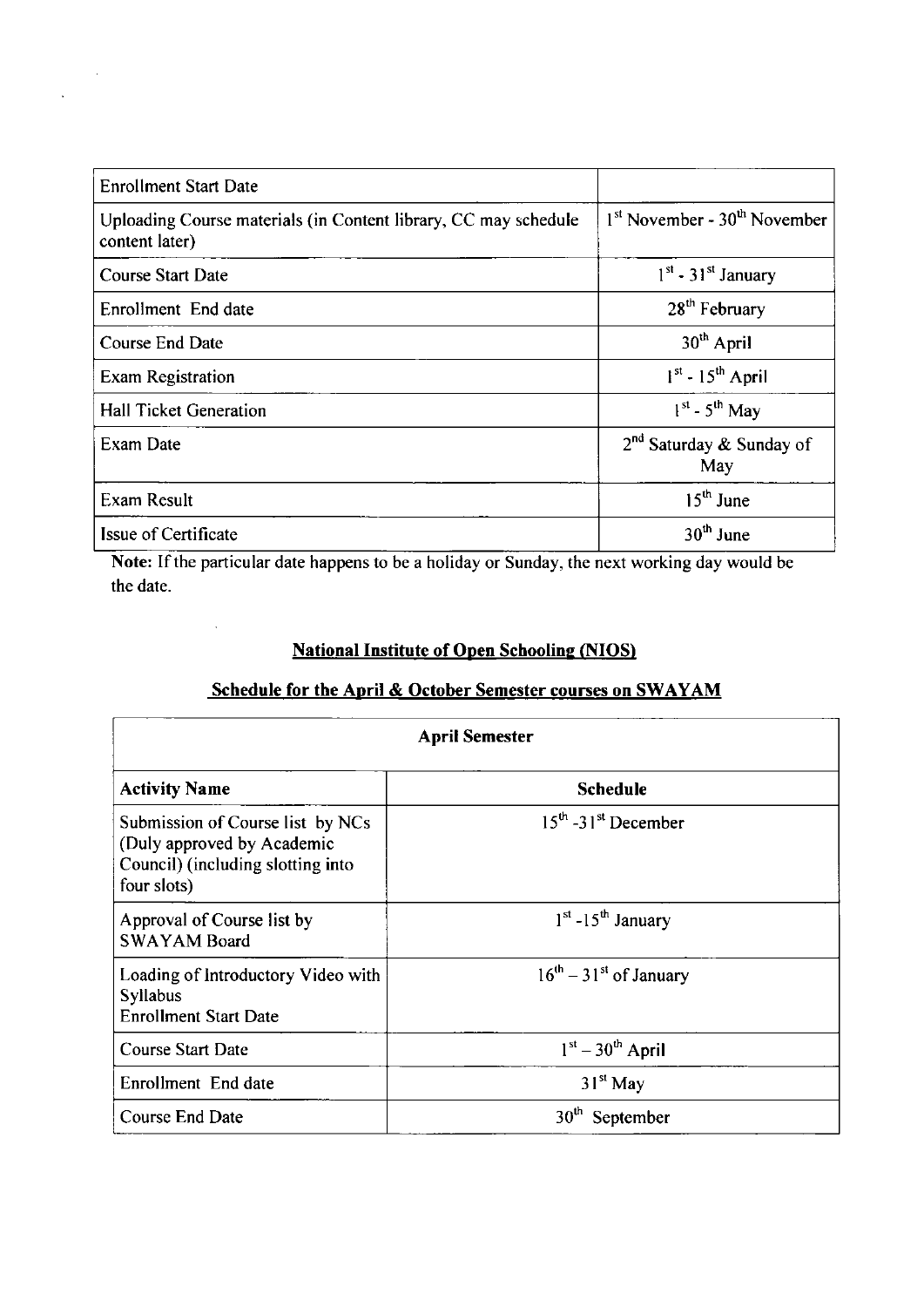| <b>Enrollment Start Date</b>                                                      |                                      |
|-----------------------------------------------------------------------------------|--------------------------------------|
| Uploading Course materials (in Content library, CC may schedule<br>content later) | $1st$ November - $30th$ November     |
| <b>Course Start Date</b>                                                          | $1st$ - 31 <sup>st</sup> January     |
| Enrollment End date                                                               | 28 <sup>th</sup> February            |
| <b>Course End Date</b>                                                            | 30 <sup>th</sup> April               |
| <b>Exam Registration</b>                                                          | $1st - 15th$ April                   |
| <b>Hall Ticket Generation</b>                                                     | $1^{st}$ - 5 <sup>th</sup> May       |
| Exam Date                                                                         | $2^{nd}$ Saturday & Sunday of<br>May |
| Exam Result                                                                       | $15th$ June                          |
| <b>Issue of Certificate</b>                                                       | $30th$ June                          |

 $\hat{\boldsymbol{\theta}}$ 

 $\ddot{\phantom{a}}$ 

 $\ddot{\phantom{a}}$ 

Note: If the particular date happens to be a holiday or Sunday, the next working day would be the date.

### **National Institute of Open Schooling (NIOS)**

# Schedule for the April & October Semester courses on SWAYAM

| <b>April Semester</b>                                                                                              |                                 |  |
|--------------------------------------------------------------------------------------------------------------------|---------------------------------|--|
| <b>Activity Name</b>                                                                                               | <b>Schedule</b>                 |  |
| Submission of Course list by NCs<br>(Duly approved by Academic<br>Council) (including slotting into<br>four slots) | $15th - 31st$ December          |  |
| Approval of Course list by<br><b>SWAYAM Board</b>                                                                  | $1st$ -15 <sup>th</sup> January |  |
| Loading of Introductory Video with<br><b>Syllabus</b><br><b>Enrollment Start Date</b>                              | $16^{th} - 31^{st}$ of January  |  |
| <b>Course Start Date</b>                                                                                           | $1st - 30th$ April              |  |
| Enrollment End date                                                                                                | $31st$ May                      |  |
| Course End Date                                                                                                    | 30 <sup>th</sup><br>September   |  |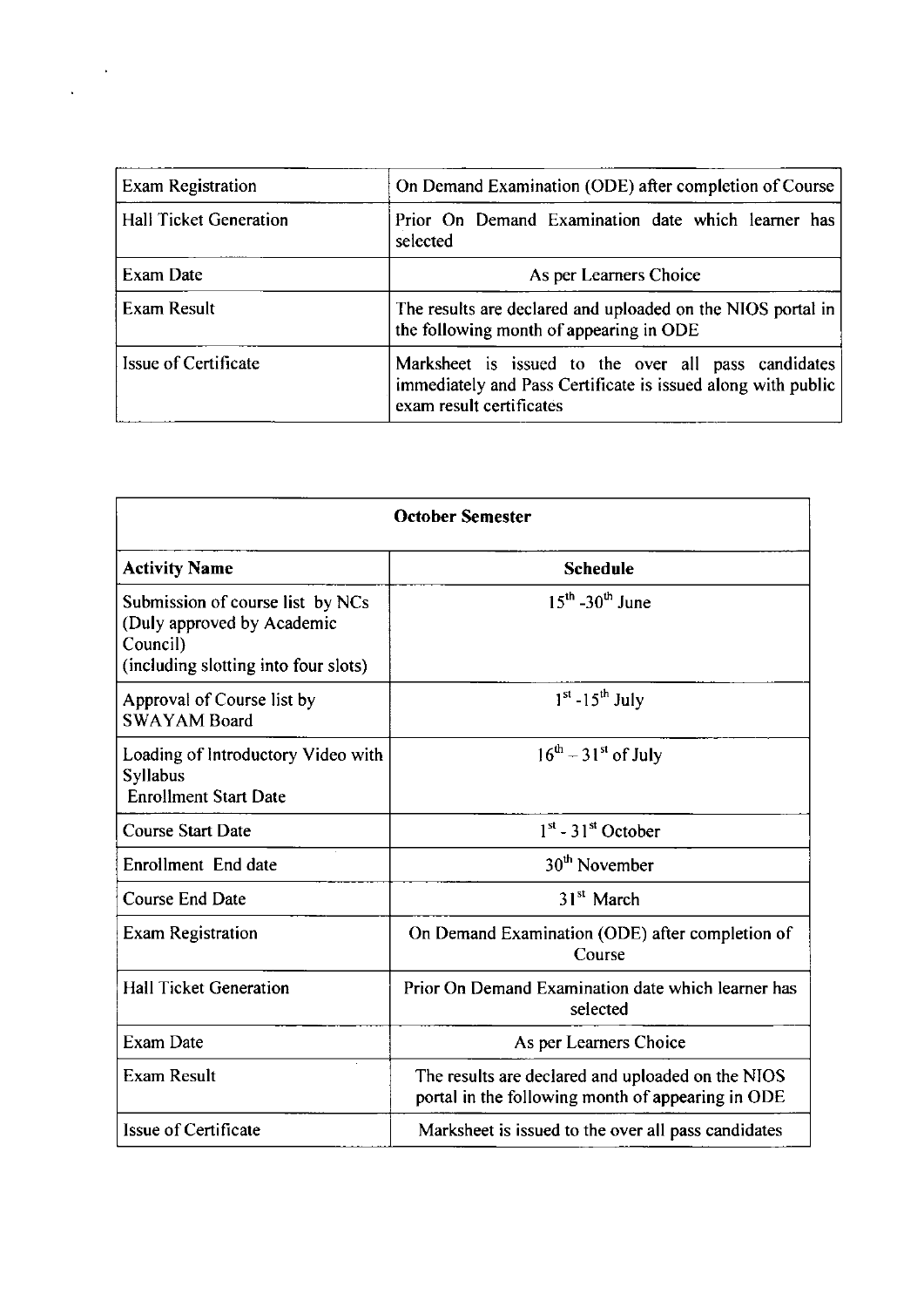| <b>Exam Registration</b>      | On Demand Examination (ODE) after completion of Course                                                                                          |  |
|-------------------------------|-------------------------------------------------------------------------------------------------------------------------------------------------|--|
| <b>Hall Ticket Generation</b> | Prior On Demand Examination date which learner has<br>selected                                                                                  |  |
| Exam Date                     | As per Learners Choice                                                                                                                          |  |
| Exam Result                   | The results are declared and uploaded on the NIOS portal in<br>the following month of appearing in ODE                                          |  |
| Issue of Certificate          | Marksheet is issued to the over all pass candidates<br>immediately and Pass Certificate is issued along with public<br>exam result certificates |  |

 $\frac{1}{\sqrt{2\pi}}\sum_{i=1}^{N} \frac{1}{\sqrt{2\pi}}\left(\frac{1}{\sqrt{2\pi}}\right)^2$ 

| <b>October Semester</b>                                                                                            |                                                                                                        |
|--------------------------------------------------------------------------------------------------------------------|--------------------------------------------------------------------------------------------------------|
| <b>Activity Name</b>                                                                                               | <b>Schedule</b>                                                                                        |
| Submission of course list by NCs<br>(Duly approved by Academic<br>Council)<br>(including slotting into four slots) | $15^{th}$ -30 <sup>th</sup> June                                                                       |
| Approval of Course list by<br><b>SWAYAM Board</b>                                                                  | $1st - 15th$ July                                                                                      |
| Loading of Introductory Video with<br><b>Syllabus</b><br><b>Enrollment Start Date</b>                              | $16^{\text{th}} - 31^{\text{st}}$ of July                                                              |
| <b>Course Start Date</b>                                                                                           | $1st$ - 31 <sup>st</sup> October                                                                       |
| Enrollment End date                                                                                                | $30th$ November                                                                                        |
| <b>Course End Date</b>                                                                                             | 31 <sup>st</sup> March                                                                                 |
| <b>Exam Registration</b>                                                                                           | On Demand Examination (ODE) after completion of<br>Course                                              |
| <b>Hall Ticket Generation</b>                                                                                      | Prior On Demand Examination date which learner has<br>selected                                         |
| <b>Exam Date</b>                                                                                                   | As per Learners Choice                                                                                 |
| <b>Exam Result</b>                                                                                                 | The results are declared and uploaded on the NIOS<br>portal in the following month of appearing in ODE |
| Issue of Certificate                                                                                               | Marksheet is issued to the over all pass candidates                                                    |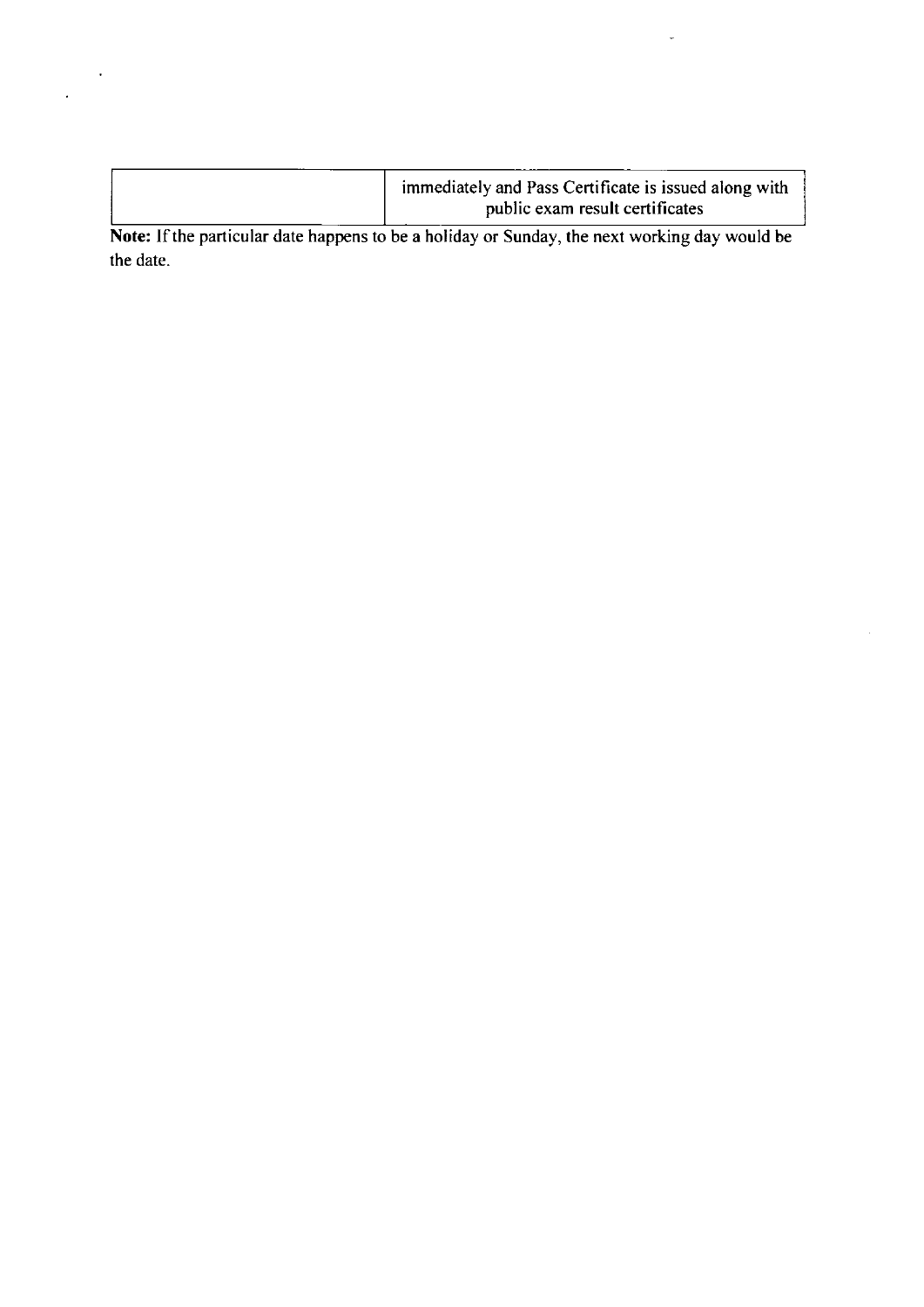| immediately and Pass Certificate is issued along with |
|-------------------------------------------------------|
| public exam result certificates                       |

 $\ddot{\phantom{a}}$ 

 $\ddot{\phantom{0}}$ 

Note: If the particular date happens to be a holiday or Sunday, the next working day would be the date.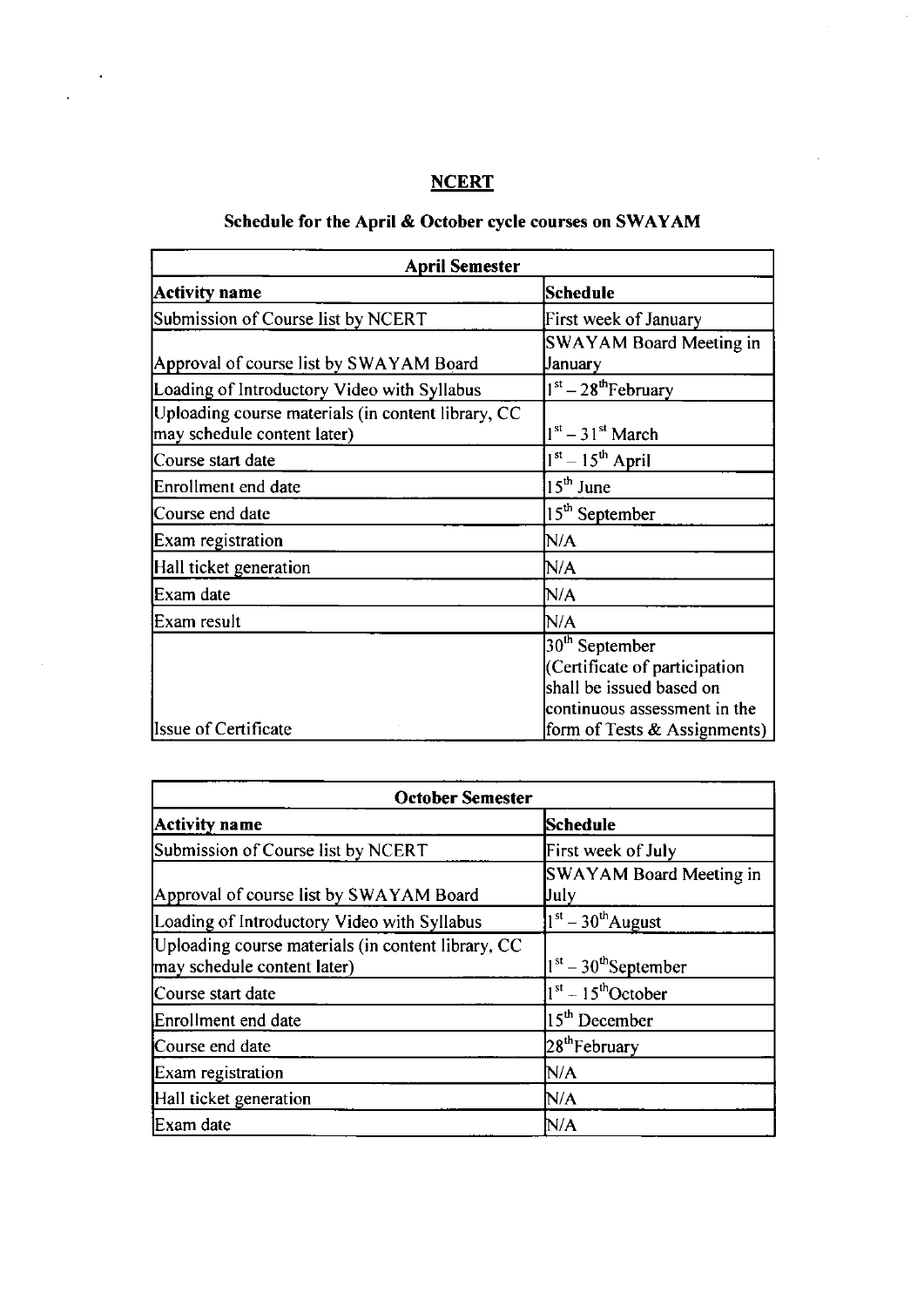# **NCERT**

 $\ddot{\phantom{0}}$ 

 $\ddot{\phantom{1}}$ 

 $\bar{a}$ 

 $\hat{\mathcal{A}}$ 

 $\frac{1}{2}$ 

# Schedule for the April & October cycle courses on SWAYAM

| <b>April Semester</b>                                                             |                                 |
|-----------------------------------------------------------------------------------|---------------------------------|
| <b>Activity name</b>                                                              | Schedule                        |
| Submission of Course list by NCERT                                                | First week of January           |
|                                                                                   | <b>SWAYAM Board Meeting in</b>  |
| Approval of course list by SWAYAM Board                                           | January                         |
| Loading of Introductory Video with Syllabus                                       | $1st - 28th$ February           |
| Uploading course materials (in content library, CC<br>may schedule content later) | $1st - 31st$ March              |
| Course start date                                                                 | $1st - 15th$ April              |
| Enrollment end date                                                               | $15th$ June                     |
| Course end date                                                                   | 15 <sup>th</sup> September      |
| Exam registration                                                                 | N/A                             |
| Hall ticket generation                                                            | N/A                             |
| Exam date                                                                         | N/A                             |
| Exam result                                                                       | N/A                             |
|                                                                                   | $30th$ September                |
|                                                                                   | (Certificate of participation   |
|                                                                                   | shall be issued based on        |
|                                                                                   | continuous assessment in the    |
| <b>Issue of Certificate</b>                                                       | form of Tests $\&$ Assignments) |

|                                                                                   | <b>October Semester</b>         |  |
|-----------------------------------------------------------------------------------|---------------------------------|--|
| <b>Activity name</b>                                                              | <b>Schedule</b>                 |  |
| Submission of Course list by NCERT                                                | First week of July              |  |
| Approval of course list by SWAYAM Board                                           | SWAYAM Board Meeting in<br>Uuly |  |
| Loading of Introductory Video with Syllabus                                       | $1st - 30th$ August             |  |
| Uploading course materials (in content library, CC<br>may schedule content later) | $1st - 30th$ September          |  |
| Course start date                                                                 | $1st - 15th$ October            |  |
| Enrollment end date                                                               | $15th$ December                 |  |
| Course end date                                                                   | 28 <sup>th</sup> February       |  |
| Exam registration                                                                 | N/A                             |  |
| Hall ticket generation                                                            | N/A                             |  |
| Exam date                                                                         | N/A                             |  |